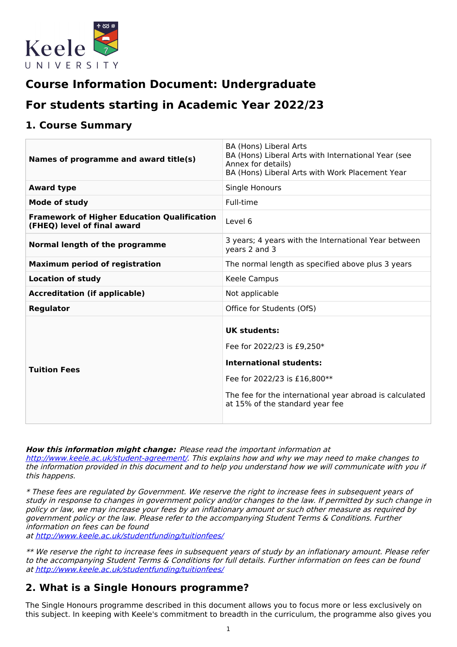

# **Course Information Document: Undergraduate**

# **For students starting in Academic Year 2022/23**

## **1. Course Summary**

| Names of programme and award title(s)                                             | BA (Hons) Liberal Arts<br>BA (Hons) Liberal Arts with International Year (see<br>Annex for details)<br>BA (Hons) Liberal Arts with Work Placement Year                                                            |
|-----------------------------------------------------------------------------------|-------------------------------------------------------------------------------------------------------------------------------------------------------------------------------------------------------------------|
| <b>Award type</b>                                                                 | Single Honours                                                                                                                                                                                                    |
| <b>Mode of study</b>                                                              | Full-time                                                                                                                                                                                                         |
| <b>Framework of Higher Education Qualification</b><br>(FHEQ) level of final award | Level 6                                                                                                                                                                                                           |
| Normal length of the programme                                                    | 3 years; 4 years with the International Year between<br>years 2 and 3                                                                                                                                             |
| <b>Maximum period of registration</b>                                             | The normal length as specified above plus 3 years                                                                                                                                                                 |
| <b>Location of study</b>                                                          | Keele Campus                                                                                                                                                                                                      |
| <b>Accreditation (if applicable)</b>                                              | Not applicable                                                                                                                                                                                                    |
| <b>Regulator</b>                                                                  | Office for Students (OfS)                                                                                                                                                                                         |
| <b>Tuition Fees</b>                                                               | <b>UK students:</b><br>Fee for 2022/23 is £9,250*<br><b>International students:</b><br>Fee for 2022/23 is £16,800**<br>The fee for the international year abroad is calculated<br>at 15% of the standard year fee |

**How this information might change:** Please read the important information at

<http://www.keele.ac.uk/student-agreement/>. This explains how and why we may need to make changes to the information provided in this document and to help you understand how we will communicate with you if this happens.

\* These fees are regulated by Government. We reserve the right to increase fees in subsequent years of study in response to changes in government policy and/or changes to the law. If permitted by such change in policy or law, we may increase your fees by an inflationary amount or such other measure as required by government policy or the law. Please refer to the accompanying Student Terms & Conditions. Further information on fees can be found

at <http://www.keele.ac.uk/studentfunding/tuitionfees/>

\*\* We reserve the right to increase fees in subsequent years of study by an inflationary amount. Please refer to the accompanying Student Terms & Conditions for full details. Further information on fees can be found at <http://www.keele.ac.uk/studentfunding/tuitionfees/>

## **2. What is a Single Honours programme?**

The Single Honours programme described in this document allows you to focus more or less exclusively on this subject. In keeping with Keele's commitment to breadth in the curriculum, the programme also gives you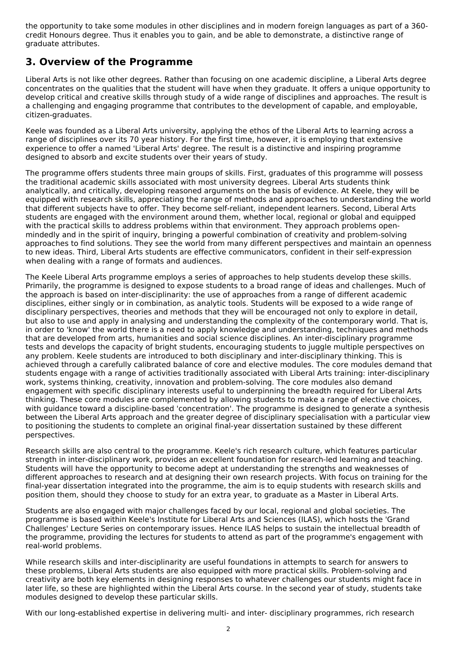the opportunity to take some modules in other disciplines and in modern foreign languages as part of a 360 credit Honours degree. Thus it enables you to gain, and be able to demonstrate, a distinctive range of graduate attributes.

## **3. Overview of the Programme**

Liberal Arts is not like other degrees. Rather than focusing on one academic discipline, a Liberal Arts degree concentrates on the qualities that the student will have when they graduate. It offers a unique opportunity to develop critical and creative skills through study of a wide range of disciplines and approaches. The result is a challenging and engaging programme that contributes to the development of capable, and employable, citizen-graduates.

Keele was founded as a Liberal Arts university, applying the ethos of the Liberal Arts to learning across a range of disciplines over its 70 year history. For the first time, however, it is employing that extensive experience to offer a named 'Liberal Arts' degree. The result is a distinctive and inspiring programme designed to absorb and excite students over their years of study.

The programme offers students three main groups of skills. First, graduates of this programme will possess the traditional academic skills associated with most university degrees. Liberal Arts students think analytically, and critically, developing reasoned arguments on the basis of evidence. At Keele, they will be equipped with research skills, appreciating the range of methods and approaches to understanding the world that different subjects have to offer. They become self-reliant, independent learners. Second, Liberal Arts students are engaged with the environment around them, whether local, regional or global and equipped with the practical skills to address problems within that environment. They approach problems open mindedly and in the spirit of inquiry, bringing a powerful combination of creativity and problem-solving approaches to find solutions. They see the world from many different perspectives and maintain an openness to new ideas. Third, Liberal Arts students are effective communicators, confident in their self-expression when dealing with a range of formats and audiences.

The Keele Liberal Arts programme employs a series of approaches to help students develop these skills. Primarily, the programme is designed to expose students to a broad range of ideas and challenges. Much of the approach is based on inter-disciplinarity: the use of approaches from a range of different academic disciplines, either singly or in combination, as analytic tools. Students will be exposed to a wide range of disciplinary perspectives, theories and methods that they will be encouraged not only to explore in detail, but also to use and apply in analysing and understanding the complexity of the contemporary world. That is, in order to 'know' the world there is a need to apply knowledge and understanding, techniques and methods that are developed from arts, humanities and social science disciplines. An inter-disciplinary programme tests and develops the capacity of bright students, encouraging students to juggle multiple perspectives on any problem. Keele students are introduced to both disciplinary and inter-disciplinary thinking. This is achieved through a carefully calibrated balance of core and elective modules. The core modules demand that students engage with a range of activities traditionally associated with Liberal Arts training: inter-disciplinary work, systems thinking, creativity, innovation and problem-solving. The core modules also demand engagement with specific disciplinary interests useful to underpinning the breadth required for Liberal Arts thinking. These core modules are complemented by allowing students to make a range of elective choices, with guidance toward a discipline-based 'concentration'. The programme is designed to generate a synthesis between the Liberal Arts approach and the greater degree of disciplinary specialisation with a particular view to positioning the students to complete an original final-year dissertation sustained by these different perspectives.

Research skills are also central to the programme. Keele's rich research culture, which features particular strength in inter-disciplinary work, provides an excellent foundation for research-led learning and teaching. Students will have the opportunity to become adept at understanding the strengths and weaknesses of different approaches to research and at designing their own research projects. With focus on training for the final-year dissertation integrated into the programme, the aim is to equip students with research skills and position them, should they choose to study for an extra year, to graduate as a Master in Liberal Arts.

Students are also engaged with major challenges faced by our local, regional and global societies. The programme is based within Keele's Institute for Liberal Arts and Sciences (ILAS), which hosts the 'Grand Challenges' Lecture Series on contemporary issues. Hence ILAS helps to sustain the intellectual breadth of the programme, providing the lectures for students to attend as part of the programme's engagement with real-world problems.

While research skills and inter-disciplinarity are useful foundations in attempts to search for answers to these problems, Liberal Arts students are also equipped with more practical skills. Problem-solving and creativity are both key elements in designing responses to whatever challenges our students might face in later life, so these are highlighted within the Liberal Arts course. In the second year of study, students take modules designed to develop these particular skills.

With our long-established expertise in delivering multi- and inter- disciplinary programmes, rich research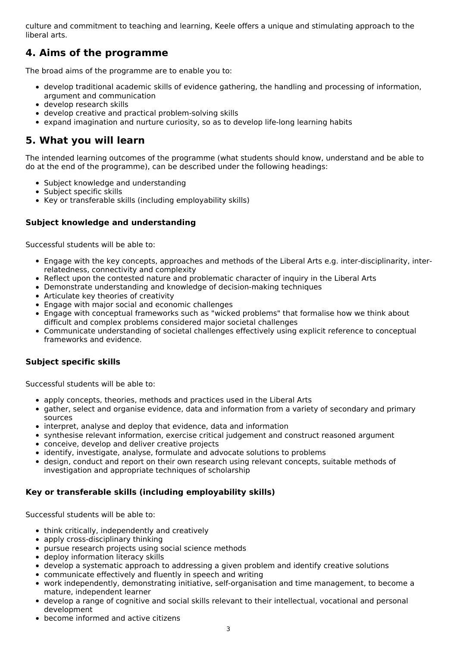culture and commitment to teaching and learning, Keele offers a unique and stimulating approach to the liberal arts.

# **4. Aims of the programme**

The broad aims of the programme are to enable you to:

- develop traditional academic skills of evidence gathering, the handling and processing of information, argument and communication
- develop research skills
- develop creative and practical problem-solving skills
- expand imagination and nurture curiosity, so as to develop life-long learning habits

## **5. What you will learn**

The intended learning outcomes of the programme (what students should know, understand and be able to do at the end of the programme), can be described under the following headings:

- Subject knowledge and understanding
- Subject specific skills
- Key or transferable skills (including employability skills)

## **Subject knowledge and understanding**

Successful students will be able to:

- Engage with the key concepts, approaches and methods of the Liberal Arts e.g. inter-disciplinarity, interrelatedness, connectivity and complexity
- Reflect upon the contested nature and problematic character of inquiry in the Liberal Arts
- Demonstrate understanding and knowledge of decision-making techniques
- Articulate key theories of creativity
- Engage with major social and economic challenges
- Engage with conceptual frameworks such as "wicked problems" that formalise how we think about difficult and complex problems considered major societal challenges
- Communicate understanding of societal challenges effectively using explicit reference to conceptual frameworks and evidence.

### **Subject specific skills**

Successful students will be able to:

- apply concepts, theories, methods and practices used in the Liberal Arts
- gather, select and organise evidence, data and information from a variety of secondary and primary sources
- interpret, analyse and deploy that evidence, data and information
- synthesise relevant information, exercise critical judgement and construct reasoned argument
- conceive, develop and deliver creative projects
- identify, investigate, analyse, formulate and advocate solutions to problems
- design, conduct and report on their own research using relevant concepts, suitable methods of investigation and appropriate techniques of scholarship

### **Key or transferable skills (including employability skills)**

Successful students will be able to:

- think critically, independently and creatively
- apply cross-disciplinary thinking
- pursue research projects using social science methods
- deploy information literacy skills
- develop a systematic approach to addressing a given problem and identify creative solutions
- communicate effectively and fluently in speech and writing
- work independently, demonstrating initiative, self-organisation and time management, to become a mature, independent learner
- develop a range of cognitive and social skills relevant to their intellectual, vocational and personal development
- become informed and active citizens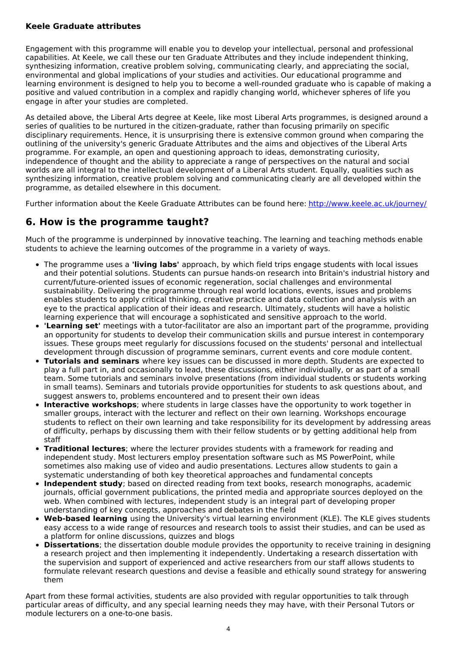### **Keele Graduate attributes**

Engagement with this programme will enable you to develop your intellectual, personal and professional capabilities. At Keele, we call these our ten Graduate Attributes and they include independent thinking, synthesizing information, creative problem solving, communicating clearly, and appreciating the social, environmental and global implications of your studies and activities. Our educational programme and learning environment is designed to help you to become a well-rounded graduate who is capable of making a positive and valued contribution in a complex and rapidly changing world, whichever spheres of life you engage in after your studies are completed.

As detailed above, the Liberal Arts degree at Keele, like most Liberal Arts programmes, is designed around a series of qualities to be nurtured in the citizen-graduate, rather than focusing primarily on specific disciplinary requirements. Hence, it is unsurprising there is extensive common ground when comparing the outlining of the university's generic Graduate Attributes and the aims and objectives of the Liberal Arts programme. For example, an open and questioning approach to ideas, demonstrating curiosity, independence of thought and the ability to appreciate a range of perspectives on the natural and social worlds are all integral to the intellectual development of a Liberal Arts student. Equally, qualities such as synthesizing information, creative problem solving and communicating clearly are all developed within the programme, as detailed elsewhere in this document.

Further information about the Keele Graduate Attributes can be found here: <http://www.keele.ac.uk/journey/>

## **6. How is the programme taught?**

Much of the programme is underpinned by innovative teaching. The learning and teaching methods enable students to achieve the learning outcomes of the programme in a variety of ways.

- The programme uses a **'living labs'** approach, by which field trips engage students with local issues and their potential solutions. Students can pursue hands-on research into Britain's industrial history and current/future-oriented issues of economic regeneration, social challenges and environmental sustainability. Delivering the programme through real world locations, events, issues and problems enables students to apply critical thinking, creative practice and data collection and analysis with an eye to the practical application of their ideas and research. Ultimately, students will have a holistic learning experience that will encourage a sophisticated and sensitive approach to the world.
- **'Learning set'** meetings with a tutor-facilitator are also an important part of the programme, providing an opportunity for students to develop their communication skills and pursue interest in contemporary issues. These groups meet regularly for discussions focused on the students' personal and intellectual development through discussion of programme seminars, current events and core module content.
- **Tutorials and seminars** where key issues can be discussed in more depth. Students are expected to play a full part in, and occasionally to lead, these discussions, either individually, or as part of a small team. Some tutorials and seminars involve presentations (from individual students or students working in small teams). Seminars and tutorials provide opportunities for students to ask questions about, and suggest answers to, problems encountered and to present their own ideas
- **Interactive workshops**; where students in large classes have the opportunity to work together in smaller groups, interact with the lecturer and reflect on their own learning. Workshops encourage students to reflect on their own learning and take responsibility for its development by addressing areas of difficulty, perhaps by discussing them with their fellow students or by getting additional help from staff
- **Traditional lectures**; where the lecturer provides students with a framework for reading and independent study. Most lecturers employ presentation software such as MS PowerPoint, while sometimes also making use of video and audio presentations. Lectures allow students to gain a systematic understanding of both key theoretical approaches and fundamental concepts
- **Independent study**; based on directed reading from text books, research monographs, academic journals, official government publications, the printed media and appropriate sources deployed on the web. When combined with lectures, independent study is an integral part of developing proper understanding of key concepts, approaches and debates in the field
- **Web-based learning** using the University's virtual learning environment (KLE). The KLE gives students easy access to a wide range of resources and research tools to assist their studies, and can be used as a platform for online discussions, quizzes and blogs
- **Dissertations**; the dissertation double module provides the opportunity to receive training in designing a research project and then implementing it independently. Undertaking a research dissertation with the supervision and support of experienced and active researchers from our staff allows students to formulate relevant research questions and devise a feasible and ethically sound strategy for answering them

Apart from these formal activities, students are also provided with regular opportunities to talk through particular areas of difficulty, and any special learning needs they may have, with their Personal Tutors or module lecturers on a one-to-one basis.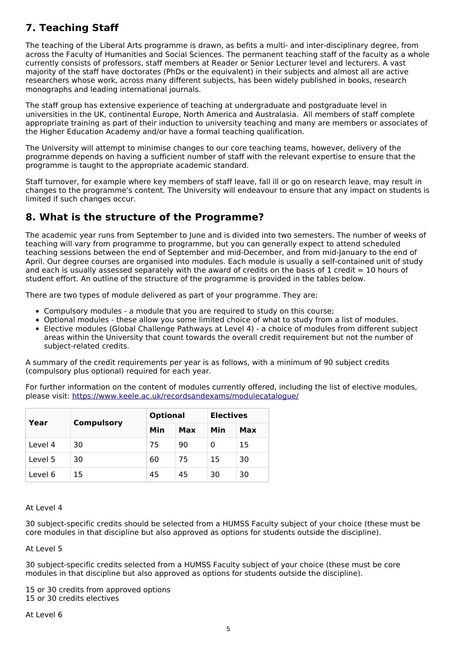# **7. Teaching Staff**

The teaching of the Liberal Arts programme is drawn, as befits a multi- and inter-disciplinary degree, from across the Faculty of Humanities and Social Sciences. The permanent teaching staff of the faculty as a whole currently consists of professors, staff members at Reader or Senior Lecturer level and lecturers. A vast majority of the staff have doctorates (PhDs or the equivalent) in their subjects and almost all are active researchers whose work, across many different subjects, has been widely published in books, research monographs and leading international journals.

The staff group has extensive experience of teaching at undergraduate and postgraduate level in universities in the UK, continental Europe, North America and Australasia. All members of staff complete appropriate training as part of their induction to university teaching and many are members or associates of the Higher Education Academy and/or have a formal teaching qualification.

The University will attempt to minimise changes to our core teaching teams, however, delivery of the programme depends on having a sufficient number of staff with the relevant expertise to ensure that the programme is taught to the appropriate academic standard.

Staff turnover, for example where key members of staff leave, fall ill or go on research leave, may result in changes to the programme's content. The University will endeavour to ensure that any impact on students is limited if such changes occur.

# **8. What is the structure of the Programme?**

The academic year runs from September to June and is divided into two semesters. The number of weeks of teaching will vary from programme to programme, but you can generally expect to attend scheduled teaching sessions between the end of September and mid-December, and from mid-January to the end of April. Our degree courses are organised into modules. Each module is usually a self-contained unit of study and each is usually assessed separately with the award of credits on the basis of 1 credit  $= 10$  hours of student effort. An outline of the structure of the programme is provided in the tables below.

There are two types of module delivered as part of your programme. They are:

- Compulsory modules a module that you are required to study on this course;
- Optional modules these allow you some limited choice of what to study from a list of modules.
- Elective modules (Global Challenge Pathways at Level 4) a choice of modules from different subject areas within the University that count towards the overall credit requirement but not the number of subject-related credits.

A summary of the credit requirements per year is as follows, with a minimum of 90 subject credits (compulsory plus optional) required for each year.

For further information on the content of modules currently offered, including the list of elective modules, please visit: <https://www.keele.ac.uk/recordsandexams/modulecatalogue/>

|         |                   | <b>Optional</b> |     | <b>Electives</b> |     |
|---------|-------------------|-----------------|-----|------------------|-----|
| Year    | <b>Compulsory</b> | Min             | Max | Min              | Max |
| Level 4 | 30                | 75              | 90  | 0                | 15  |
| Level 5 | 30                | 60              | 75  | 15               | 30  |
| Level 6 | 15                | 45              | 45  | 30               | 30  |

### At Level 4

30 subject-specific credits should be selected from a HUMSS Faculty subject of your choice (these must be core modules in that discipline but also approved as options for students outside the discipline).

At Level 5

30 subject-specific credits selected from a HUMSS Faculty subject of your choice (these must be core modules in that discipline but also approved as options for students outside the discipline).

15 or 30 credits from approved options 15 or 30 credits electives

At Level 6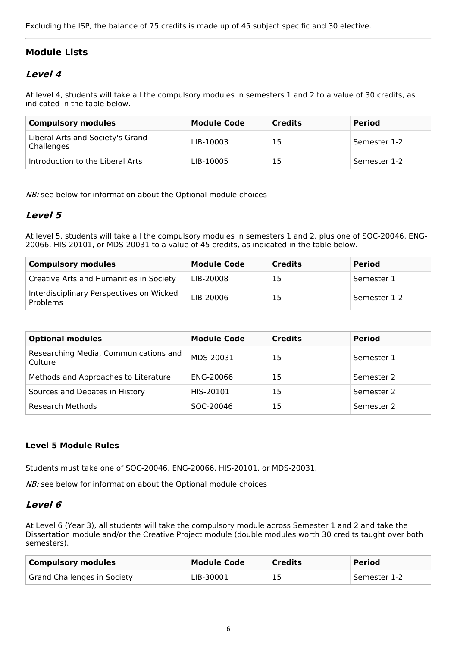Excluding the ISP, the balance of 75 credits is made up of 45 subject specific and 30 elective.

## **Module Lists**

## **Level 4**

At level 4, students will take all the compulsory modules in semesters 1 and 2 to a value of 30 credits, as indicated in the table below.

| <b>Compulsory modules</b>                      | <b>Module Code</b> | <b>Credits</b> | <b>Period</b> |
|------------------------------------------------|--------------------|----------------|---------------|
| Liberal Arts and Society's Grand<br>Challenges | LIB-10003          | 15             | Semester 1-2  |
| Introduction to the Liberal Arts               | LIB-10005          | 15             | Semester 1-2  |

NB: see below for information about the Optional module choices

## **Level 5**

At level 5, students will take all the compulsory modules in semesters 1 and 2, plus one of SOC-20046, ENG-20066, HIS-20101, or MDS-20031 to a value of 45 credits, as indicated in the table below.

| <b>Compulsory modules</b>                            | <b>Module Code</b> | <b>Credits</b> | <b>Period</b> |
|------------------------------------------------------|--------------------|----------------|---------------|
| Creative Arts and Humanities in Society              | LIB-20008          | 15             | Semester 1    |
| Interdisciplinary Perspectives on Wicked<br>Problems | LIB-20006          | 15             | Semester 1-2  |

| <b>Optional modules</b>                          | <b>Module Code</b> | <b>Credits</b> | <b>Period</b> |
|--------------------------------------------------|--------------------|----------------|---------------|
| Researching Media, Communications and<br>Culture | MDS-20031          | 15             | Semester 1    |
| Methods and Approaches to Literature             | ENG-20066          | 15             | Semester 2    |
| Sources and Debates in History                   | HIS-20101          | 15             | Semester 2    |
| Research Methods                                 | SOC-20046          | 15             | Semester 2    |

### **Level 5 Module Rules**

Students must take one of SOC-20046, ENG-20066, HIS-20101, or MDS-20031.

NB: see below for information about the Optional module choices

### **Level 6**

At Level 6 (Year 3), all students will take the compulsory module across Semester 1 and 2 and take the Dissertation module and/or the Creative Project module (double modules worth 30 credits taught over both semesters).

| <b>Compulsory modules</b>   | <b>Module Code</b> | <b>Credits</b> | <b>Period</b> |
|-----------------------------|--------------------|----------------|---------------|
| Grand Challenges in Society | LIB-30001          | 15             | Semester 1-2  |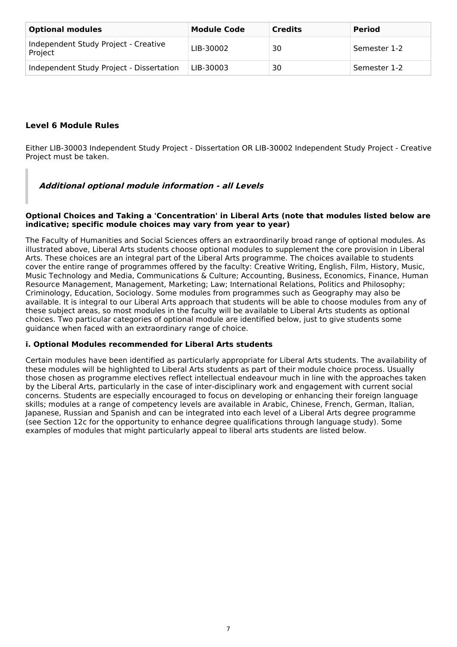| <b>Optional modules</b>                         | <b>Module Code</b> | <b>Credits</b> | <b>Period</b> |
|-------------------------------------------------|--------------------|----------------|---------------|
| Independent Study Project - Creative<br>Project | LIB-30002          | 30             | Semester 1-2  |
| Independent Study Project - Dissertation        | LIB-30003          | 30             | Semester 1-2  |

## **Level 6 Module Rules**

Either LIB-30003 Independent Study Project - Dissertation OR LIB-30002 Independent Study Project - Creative Project must be taken.

## **Additional optional module information - all Levels**

#### **Optional Choices and Taking a 'Concentration' in Liberal Arts (note that modules listed below are indicative; specific module choices may vary from year to year)**

The Faculty of Humanities and Social Sciences offers an extraordinarily broad range of optional modules. As illustrated above, Liberal Arts students choose optional modules to supplement the core provision in Liberal Arts. These choices are an integral part of the Liberal Arts programme. The choices available to students cover the entire range of programmes offered by the faculty: Creative Writing, English, Film, History, Music, Music Technology and Media, Communications & Culture; Accounting, Business, Economics, Finance, Human Resource Management, Management, Marketing; Law; International Relations, Politics and Philosophy; Criminology, Education, Sociology. Some modules from programmes such as Geography may also be available. It is integral to our Liberal Arts approach that students will be able to choose modules from any of these subject areas, so most modules in the faculty will be available to Liberal Arts students as optional choices. Two particular categories of optional module are identified below, just to give students some guidance when faced with an extraordinary range of choice.

### **i. Optional Modules recommended for Liberal Arts students**

Certain modules have been identified as particularly appropriate for Liberal Arts students. The availability of these modules will be highlighted to Liberal Arts students as part of their module choice process. Usually those chosen as programme electives reflect intellectual endeavour much in line with the approaches taken by the Liberal Arts, particularly in the case of inter-disciplinary work and engagement with current social concerns. Students are especially encouraged to focus on developing or enhancing their foreign language skills; modules at a range of competency levels are available in Arabic, Chinese, French, German, Italian, Japanese, Russian and Spanish and can be integrated into each level of a Liberal Arts degree programme (see Section 12c for the opportunity to enhance degree qualifications through language study). Some examples of modules that might particularly appeal to liberal arts students are listed below.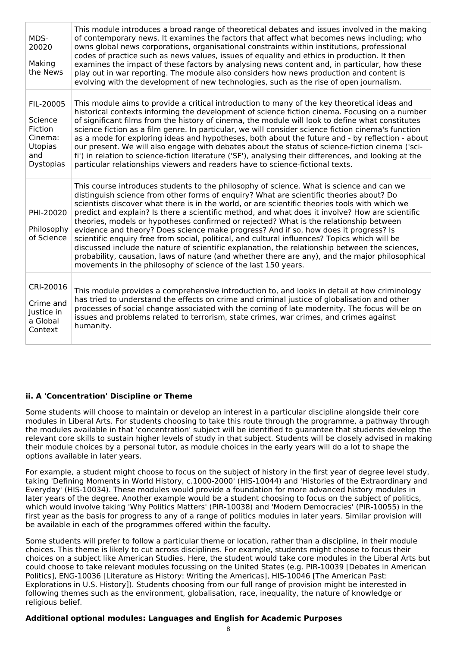| MDS-<br>20020<br>Making<br>the News                                              | This module introduces a broad range of theoretical debates and issues involved in the making<br>of contemporary news. It examines the factors that affect what becomes news including; who<br>owns global news corporations, organisational constraints within institutions, professional<br>codes of practice such as news values, issues of equality and ethics in production. It then<br>examines the impact of these factors by analysing news content and, in particular, how these<br>play out in war reporting. The module also considers how news production and content is<br>evolving with the development of new technologies, such as the rise of open journalism.                                                                                                                                                                                                                                                                   |
|----------------------------------------------------------------------------------|---------------------------------------------------------------------------------------------------------------------------------------------------------------------------------------------------------------------------------------------------------------------------------------------------------------------------------------------------------------------------------------------------------------------------------------------------------------------------------------------------------------------------------------------------------------------------------------------------------------------------------------------------------------------------------------------------------------------------------------------------------------------------------------------------------------------------------------------------------------------------------------------------------------------------------------------------|
| FIL-20005<br>Science<br>Fiction<br>Cinema:<br>Utopias<br>and<br><b>Dystopias</b> | This module aims to provide a critical introduction to many of the key theoretical ideas and<br>historical contexts informing the development of science fiction cinema. Focusing on a number<br>of significant films from the history of cinema, the module will look to define what constitutes<br>science fiction as a film genre. In particular, we will consider science fiction cinema's function<br>as a mode for exploring ideas and hypotheses, both about the future and - by reflection - about<br>our present. We will also engage with debates about the status of science-fiction cinema ('sci-<br>fi') in relation to science-fiction literature ('SF'), analysing their differences, and looking at the<br>particular relationships viewers and readers have to science-fictional texts.                                                                                                                                          |
| PHI-20020<br>Philosophy<br>of Science                                            | This course introduces students to the philosophy of science. What is science and can we<br>distinguish science from other forms of enguiry? What are scientific theories about? Do<br>scientists discover what there is in the world, or are scientific theories tools with which we<br>predict and explain? Is there a scientific method, and what does it involve? How are scientific<br>theories, models or hypotheses confirmed or rejected? What is the relationship between<br>evidence and theory? Does science make progress? And if so, how does it progress? Is<br>scientific enguiry free from social, political, and cultural influences? Topics which will be<br>discussed include the nature of scientific explanation, the relationship between the sciences,<br>probability, causation, laws of nature (and whether there are any), and the major philosophical<br>movements in the philosophy of science of the last 150 years. |
| CRI-20016<br>Crime and<br>Justice in<br>a Global<br>Context                      | This module provides a comprehensive introduction to, and looks in detail at how criminology<br>has tried to understand the effects on crime and criminal justice of globalisation and other<br>processes of social change associated with the coming of late modernity. The focus will be on<br>issues and problems related to terrorism, state crimes, war crimes, and crimes against<br>humanity.                                                                                                                                                                                                                                                                                                                                                                                                                                                                                                                                              |

### **ii. A 'Concentration' Discipline or Theme**

Some students will choose to maintain or develop an interest in a particular discipline alongside their core modules in Liberal Arts. For students choosing to take this route through the programme, a pathway through the modules available in that 'concentration' subject will be identified to guarantee that students develop the relevant core skills to sustain higher levels of study in that subject. Students will be closely advised in making their module choices by a personal tutor, as module choices in the early years will do a lot to shape the options available in later years.

For example, a student might choose to focus on the subject of history in the first year of degree level study, taking 'Defining Moments in World History, c.1000-2000' (HIS-10044) and 'Histories of the Extraordinary and Everyday' (HIS-10034). These modules would provide a foundation for more advanced history modules in later years of the degree. Another example would be a student choosing to focus on the subject of politics, which would involve taking 'Why Politics Matters' (PIR-10038) and 'Modern Democracies' (PIR-10055) in the first year as the basis for progress to any of a range of politics modules in later years. Similar provision will be available in each of the programmes offered within the faculty.

Some students will prefer to follow a particular theme or location, rather than a discipline, in their module choices. This theme is likely to cut across disciplines. For example, students might choose to focus their choices on a subject like American Studies. Here, the student would take core modules in the Liberal Arts but could choose to take relevant modules focussing on the United States (e.g. PIR-10039 [Debates in American Politics], ENG-10036 [Literature as History: Writing the Americas], HIS-10046 [The American Past: Explorations in U.S. History]). Students choosing from our full range of provision might be interested in following themes such as the environment, globalisation, race, inequality, the nature of knowledge or religious belief.

### **Additional optional modules: Languages and English for Academic Purposes**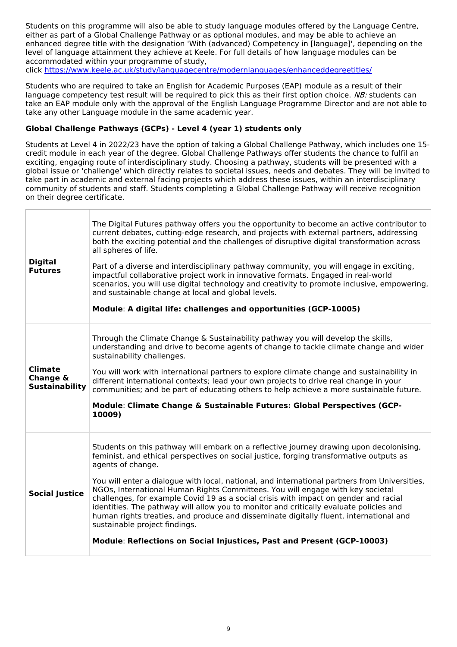Students on this programme will also be able to study language modules offered by the Language Centre, either as part of a Global Challenge Pathway or as optional modules, and may be able to achieve an enhanced degree title with the designation 'With (advanced) Competency in [language]', depending on the level of language attainment they achieve at Keele. For full details of how language modules can be accommodated within your programme of study, click <https://www.keele.ac.uk/study/languagecentre/modernlanguages/enhanceddegreetitles/>

Students who are required to take an English for Academic Purposes (EAP) module as a result of their language competency test result will be required to pick this as their first option choice. NB: students can take an EAP module only with the approval of the English Language Programme Director and are not able to take any other Language module in the same academic year.

### **Global Challenge Pathways (GCPs) - Level 4 (year 1) students only**

Students at Level 4 in 2022/23 have the option of taking a Global Challenge Pathway, which includes one 15 credit module in each year of the degree. Global Challenge Pathways offer students the chance to fulfil an exciting, engaging route of interdisciplinary study. Choosing a pathway, students will be presented with a global issue or 'challenge' which directly relates to societal issues, needs and debates. They will be invited to take part in academic and external facing projects which address these issues, within an interdisciplinary community of students and staff. Students completing a Global Challenge Pathway will receive recognition on their degree certificate.

| <b>Digital</b><br><b>Futures</b>                    | The Digital Futures pathway offers you the opportunity to become an active contributor to<br>current debates, cutting-edge research, and projects with external partners, addressing<br>both the exciting potential and the challenges of disruptive digital transformation across<br>all spheres of life.<br>Part of a diverse and interdisciplinary pathway community, you will engage in exciting,<br>impactful collaborative project work in innovative formats. Engaged in real-world<br>scenarios, you will use digital technology and creativity to promote inclusive, empowering,<br>and sustainable change at local and global levels.<br>Module: A digital life: challenges and opportunities (GCP-10005)                                                               |
|-----------------------------------------------------|-----------------------------------------------------------------------------------------------------------------------------------------------------------------------------------------------------------------------------------------------------------------------------------------------------------------------------------------------------------------------------------------------------------------------------------------------------------------------------------------------------------------------------------------------------------------------------------------------------------------------------------------------------------------------------------------------------------------------------------------------------------------------------------|
| <b>Climate</b><br>Change &<br><b>Sustainability</b> | Through the Climate Change & Sustainability pathway you will develop the skills,<br>understanding and drive to become agents of change to tackle climate change and wider<br>sustainability challenges.<br>You will work with international partners to explore climate change and sustainability in<br>different international contexts; lead your own projects to drive real change in your<br>communities; and be part of educating others to help achieve a more sustainable future.<br>Module: Climate Change & Sustainable Futures: Global Perspectives (GCP-<br>10009)                                                                                                                                                                                                     |
| <b>Social Justice</b>                               | Students on this pathway will embark on a reflective journey drawing upon decolonising,<br>feminist, and ethical perspectives on social justice, forging transformative outputs as<br>agents of change.<br>You will enter a dialogue with local, national, and international partners from Universities,<br>NGOs, International Human Rights Committees. You will engage with key societal<br>challenges, for example Covid 19 as a social crisis with impact on gender and racial<br>identities. The pathway will allow you to monitor and critically evaluate policies and<br>human rights treaties, and produce and disseminate digitally fluent, international and<br>sustainable project findings.<br>Module: Reflections on Social Injustices, Past and Present (GCP-10003) |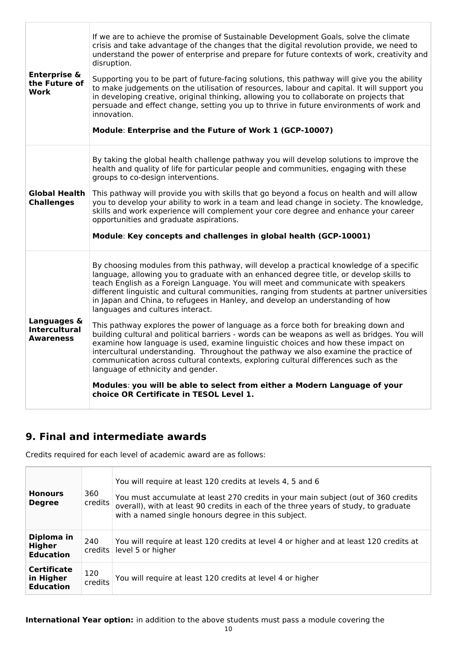| <b>Enterprise &amp;</b><br>the Future of<br>Work        | If we are to achieve the promise of Sustainable Development Goals, solve the climate<br>crisis and take advantage of the changes that the digital revolution provide, we need to<br>understand the power of enterprise and prepare for future contexts of work, creativity and<br>disruption.<br>Supporting you to be part of future-facing solutions, this pathway will give you the ability<br>to make judgements on the utilisation of resources, labour and capital. It will support you<br>in developing creative, original thinking, allowing you to collaborate on projects that<br>persuade and effect change, setting you up to thrive in future environments of work and<br>innovation.<br>Module: Enterprise and the Future of Work 1 (GCP-10007)                                                                                                                                                                                                                                                                                                                                                   |
|---------------------------------------------------------|----------------------------------------------------------------------------------------------------------------------------------------------------------------------------------------------------------------------------------------------------------------------------------------------------------------------------------------------------------------------------------------------------------------------------------------------------------------------------------------------------------------------------------------------------------------------------------------------------------------------------------------------------------------------------------------------------------------------------------------------------------------------------------------------------------------------------------------------------------------------------------------------------------------------------------------------------------------------------------------------------------------------------------------------------------------------------------------------------------------|
| <b>Global Health</b><br><b>Challenges</b>               | By taking the global health challenge pathway you will develop solutions to improve the<br>health and quality of life for particular people and communities, engaging with these<br>groups to co-design interventions.<br>This pathway will provide you with skills that go beyond a focus on health and will allow<br>you to develop your ability to work in a team and lead change in society. The knowledge,<br>skills and work experience will complement your core degree and enhance your career<br>opportunities and graduate aspirations.<br>Module: Key concepts and challenges in global health (GCP-10001)                                                                                                                                                                                                                                                                                                                                                                                                                                                                                          |
| Languages &<br><b>Intercultural</b><br><b>Awareness</b> | By choosing modules from this pathway, will develop a practical knowledge of a specific<br>language, allowing you to graduate with an enhanced degree title, or develop skills to<br>teach English as a Foreign Language. You will meet and communicate with speakers<br>different linguistic and cultural communities, ranging from students at partner universities<br>in Japan and China, to refugees in Hanley, and develop an understanding of how<br>languages and cultures interact.<br>This pathway explores the power of language as a force both for breaking down and<br>building cultural and political barriers - words can be weapons as well as bridges. You will<br>examine how language is used, examine linguistic choices and how these impact on<br>intercultural understanding. Throughout the pathway we also examine the practice of<br>communication across cultural contexts, exploring cultural differences such as the<br>language of ethnicity and gender.<br>Modules: you will be able to select from either a Modern Language of your<br>choice OR Certificate in TESOL Level 1. |

# **9. Final and intermediate awards**

Credits required for each level of academic award are as follows:

| <b>Honours</b><br><b>Degree</b>                     | 360<br>credits | You will require at least 120 credits at levels 4, 5 and 6<br>You must accumulate at least 270 credits in your main subject (out of 360 credits<br>overall), with at least 90 credits in each of the three years of study, to graduate<br>with a named single honours degree in this subject. |
|-----------------------------------------------------|----------------|-----------------------------------------------------------------------------------------------------------------------------------------------------------------------------------------------------------------------------------------------------------------------------------------------|
| Diploma in<br><b>Higher</b><br><b>Education</b>     | 240<br>credits | You will require at least 120 credits at level 4 or higher and at least 120 credits at<br>level 5 or higher                                                                                                                                                                                   |
| <b>Certificate</b><br>in Higher<br><b>Education</b> | 120<br>credits | You will require at least 120 credits at level 4 or higher                                                                                                                                                                                                                                    |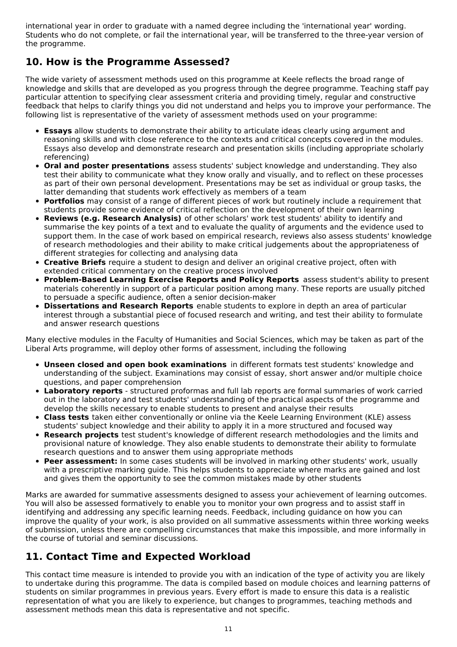international year in order to graduate with a named degree including the 'international year' wording. Students who do not complete, or fail the international year, will be transferred to the three-year version of the programme.

# **10. How is the Programme Assessed?**

The wide variety of assessment methods used on this programme at Keele reflects the broad range of knowledge and skills that are developed as you progress through the degree programme. Teaching staff pay particular attention to specifying clear assessment criteria and providing timely, regular and constructive feedback that helps to clarify things you did not understand and helps you to improve your performance. The following list is representative of the variety of assessment methods used on your programme:

- **Essays** allow students to demonstrate their ability to articulate ideas clearly using argument and reasoning skills and with close reference to the contexts and critical concepts covered in the modules. Essays also develop and demonstrate research and presentation skills (including appropriate scholarly referencing)
- **Oral and poster presentations** assess students' subject knowledge and understanding. They also test their ability to communicate what they know orally and visually, and to reflect on these processes as part of their own personal development. Presentations may be set as individual or group tasks, the latter demanding that students work effectively as members of a team
- **Portfolios** may consist of a range of different pieces of work but routinely include a requirement that students provide some evidence of critical reflection on the development of their own learning
- **Reviews (e.g. Research Analysis)** of other scholars' work test students' ability to identify and summarise the key points of a text and to evaluate the quality of arguments and the evidence used to support them. In the case of work based on empirical research, reviews also assess students' knowledge of research methodologies and their ability to make critical judgements about the appropriateness of different strategies for collecting and analysing data
- **Creative Briefs** require a student to design and deliver an original creative project, often with extended critical commentary on the creative process involved
- **Problem-Based Learning Exercise Reports and Policy Reports** assess student's ability to present materials coherently in support of a particular position among many. These reports are usually pitched to persuade a specific audience, often a senior decision-maker
- **Dissertations and Research Reports** enable students to explore in depth an area of particular interest through a substantial piece of focused research and writing, and test their ability to formulate and answer research questions

Many elective modules in the Faculty of Humanities and Social Sciences, which may be taken as part of the Liberal Arts programme, will deploy other forms of assessment, including the following

- **Unseen closed and open book examinations** in different formats test students' knowledge and understanding of the subject. Examinations may consist of essay, short answer and/or multiple choice questions, and paper comprehension
- **Laboratory reports** structured proformas and full lab reports are formal summaries of work carried out in the laboratory and test students' understanding of the practical aspects of the programme and develop the skills necessary to enable students to present and analyse their results
- **Class tests** taken either conventionally or online via the Keele Learning Environment (KLE) assess students' subject knowledge and their ability to apply it in a more structured and focused way
- **Research projects** test student's knowledge of different research methodologies and the limits and provisional nature of knowledge. They also enable students to demonstrate their ability to formulate research questions and to answer them using appropriate methods
- **Peer assessment:** In some cases students will be involved in marking other students' work, usually with a prescriptive marking guide. This helps students to appreciate where marks are gained and lost and gives them the opportunity to see the common mistakes made by other students

Marks are awarded for summative assessments designed to assess your achievement of learning outcomes. You will also be assessed formatively to enable you to monitor your own progress and to assist staff in identifying and addressing any specific learning needs. Feedback, including guidance on how you can improve the quality of your work, is also provided on all summative assessments within three working weeks of submission, unless there are compelling circumstances that make this impossible, and more informally in the course of tutorial and seminar discussions.

# **11. Contact Time and Expected Workload**

This contact time measure is intended to provide you with an indication of the type of activity you are likely to undertake during this programme. The data is compiled based on module choices and learning patterns of students on similar programmes in previous years. Every effort is made to ensure this data is a realistic representation of what you are likely to experience, but changes to programmes, teaching methods and assessment methods mean this data is representative and not specific.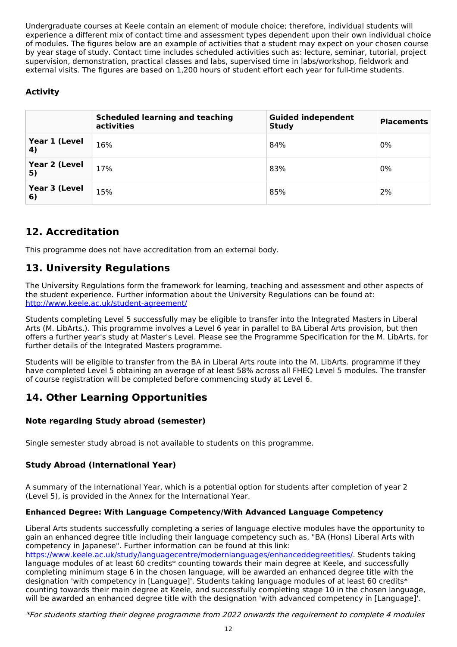Undergraduate courses at Keele contain an element of module choice; therefore, individual students will experience a different mix of contact time and assessment types dependent upon their own individual choice of modules. The figures below are an example of activities that a student may expect on your chosen course by year stage of study. Contact time includes scheduled activities such as: lecture, seminar, tutorial, project supervision, demonstration, practical classes and labs, supervised time in labs/workshop, fieldwork and external visits. The figures are based on 1,200 hours of student effort each year for full-time students.

## **Activity**

|                     | <b>Scheduled learning and teaching</b><br>activities | <b>Guided independent</b><br><b>Study</b> | <b>Placements</b> |
|---------------------|------------------------------------------------------|-------------------------------------------|-------------------|
| Year 1 (Level<br>4) | 16%                                                  | 84%                                       | 0%                |
| Year 2 (Level<br>5) | 17%                                                  | 83%                                       | 0%                |
| Year 3 (Level<br>6) | 15%                                                  | 85%                                       | 2%                |

# **12. Accreditation**

This programme does not have accreditation from an external body.

# **13. University Regulations**

The University Regulations form the framework for learning, teaching and assessment and other aspects of the student experience. Further information about the University Regulations can be found at: <http://www.keele.ac.uk/student-agreement/>

Students completing Level 5 successfully may be eligible to transfer into the Integrated Masters in Liberal Arts (M. LibArts.). This programme involves a Level 6 year in parallel to BA Liberal Arts provision, but then offers a further year's study at Master's Level. Please see the Programme Specification for the M. LibArts. for further details of the Integrated Masters programme.

Students will be eligible to transfer from the BA in Liberal Arts route into the M. LibArts. programme if they have completed Level 5 obtaining an average of at least 58% across all FHEQ Level 5 modules. The transfer of course registration will be completed before commencing study at Level 6.

# **14. Other Learning Opportunities**

## **Note regarding Study abroad (semester)**

Single semester study abroad is not available to students on this programme.

## **Study Abroad (International Year)**

A summary of the International Year, which is a potential option for students after completion of year 2 (Level 5), is provided in the Annex for the International Year.

## **Enhanced Degree: With Language Competency/With Advanced Language Competency**

Liberal Arts students successfully completing a series of language elective modules have the opportunity to gain an enhanced degree title including their language competency such as, "BA (Hons) Liberal Arts with competency in Japanese". Further information can be found at this link:

<https://www.keele.ac.uk/study/languagecentre/modernlanguages/enhanceddegreetitles/>. Students taking language modules of at least 60 credits\* counting towards their main degree at Keele, and successfully completing minimum stage 6 in the chosen language, will be awarded an enhanced degree title with the designation 'with competency in [Language]'. Students taking language modules of at least 60 credits\* counting towards their main degree at Keele, and successfully completing stage 10 in the chosen language, will be awarded an enhanced degree title with the designation 'with advanced competency in [Language]'.

\*For students starting their degree programme from 2022 onwards the requirement to complete 4 modules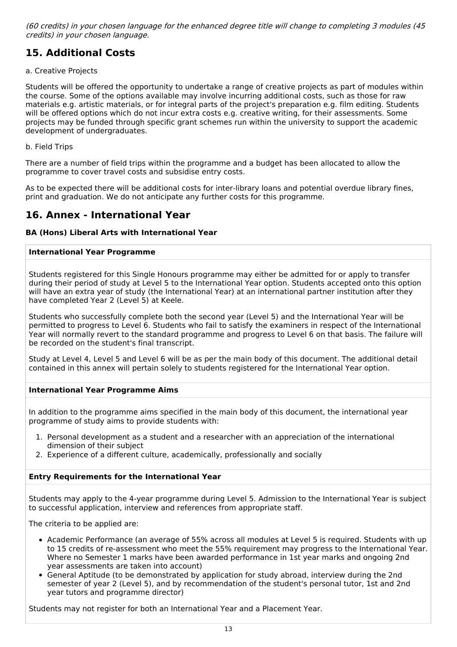(60 credits) in your chosen language for the enhanced degree title will change to completing 3 modules (45 credits) in your chosen language.

# **15. Additional Costs**

### a. Creative Projects

Students will be offered the opportunity to undertake a range of creative projects as part of modules within the course. Some of the options available may involve incurring additional costs, such as those for raw materials e.g. artistic materials, or for integral parts of the project's preparation e.g. film editing. Students will be offered options which do not incur extra costs e.g. creative writing, for their assessments. Some projects may be funded through specific grant schemes run within the university to support the academic development of undergraduates.

#### b. Field Trips

There are a number of field trips within the programme and a budget has been allocated to allow the programme to cover travel costs and subsidise entry costs.

As to be expected there will be additional costs for inter-library loans and potential overdue library fines, print and graduation. We do not anticipate any further costs for this programme.

## **16. Annex - International Year**

### **BA (Hons) Liberal Arts with International Year**

### **International Year Programme**

Students registered for this Single Honours programme may either be admitted for or apply to transfer during their period of study at Level 5 to the International Year option. Students accepted onto this option will have an extra year of study (the International Year) at an international partner institution after they have completed Year 2 (Level 5) at Keele.

Students who successfully complete both the second year (Level 5) and the International Year will be permitted to progress to Level 6. Students who fail to satisfy the examiners in respect of the International Year will normally revert to the standard programme and progress to Level 6 on that basis. The failure will be recorded on the student's final transcript.

Study at Level 4, Level 5 and Level 6 will be as per the main body of this document. The additional detail contained in this annex will pertain solely to students registered for the International Year option.

### **International Year Programme Aims**

In addition to the programme aims specified in the main body of this document, the international year programme of study aims to provide students with:

- 1. Personal development as a student and a researcher with an appreciation of the international dimension of their subject
- 2. Experience of a different culture, academically, professionally and socially

### **Entry Requirements for the International Year**

Students may apply to the 4-year programme during Level 5. Admission to the International Year is subject to successful application, interview and references from appropriate staff.

The criteria to be applied are:

- Academic Performance (an average of 55% across all modules at Level 5 is required. Students with up to 15 credits of re-assessment who meet the 55% requirement may progress to the International Year. Where no Semester 1 marks have been awarded performance in 1st year marks and ongoing 2nd year assessments are taken into account)
- General Aptitude (to be demonstrated by application for study abroad, interview during the 2nd semester of year 2 (Level 5), and by recommendation of the student's personal tutor, 1st and 2nd year tutors and programme director)

Students may not register for both an International Year and a Placement Year.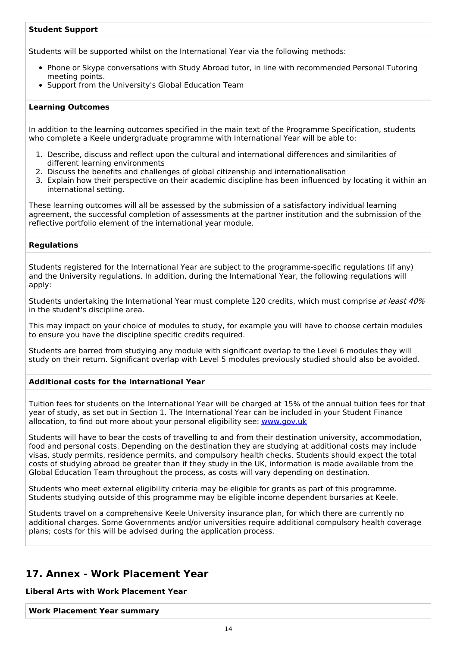### **Student Support**

Students will be supported whilst on the International Year via the following methods:

- Phone or Skype conversations with Study Abroad tutor, in line with recommended Personal Tutoring meeting points.
- Support from the University's Global Education Team

#### **Learning Outcomes**

In addition to the learning outcomes specified in the main text of the Programme Specification, students who complete a Keele undergraduate programme with International Year will be able to:

- 1. Describe, discuss and reflect upon the cultural and international differences and similarities of different learning environments
- 2. Discuss the benefits and challenges of global citizenship and internationalisation
- 3. Explain how their perspective on their academic discipline has been influenced by locating it within an international setting.

These learning outcomes will all be assessed by the submission of a satisfactory individual learning agreement, the successful completion of assessments at the partner institution and the submission of the reflective portfolio element of the international year module.

#### **Regulations**

Students registered for the International Year are subject to the programme-specific regulations (if any) and the University regulations. In addition, during the International Year, the following regulations will apply:

Students undertaking the International Year must complete 120 credits, which must comprise at least 40% in the student's discipline area.

This may impact on your choice of modules to study, for example you will have to choose certain modules to ensure you have the discipline specific credits required.

Students are barred from studying any module with significant overlap to the Level 6 modules they will study on their return. Significant overlap with Level 5 modules previously studied should also be avoided.

#### **Additional costs for the International Year**

Tuition fees for students on the International Year will be charged at 15% of the annual tuition fees for that year of study, as set out in Section 1. The International Year can be included in your Student Finance allocation, to find out more about your personal eligibility see: [www.gov.uk](http://www.gov.uk/)

Students will have to bear the costs of travelling to and from their destination university, accommodation, food and personal costs. Depending on the destination they are studying at additional costs may include visas, study permits, residence permits, and compulsory health checks. Students should expect the total costs of studying abroad be greater than if they study in the UK, information is made available from the Global Education Team throughout the process, as costs will vary depending on destination.

Students who meet external eligibility criteria may be eligible for grants as part of this programme. Students studying outside of this programme may be eligible income dependent bursaries at Keele.

Students travel on a comprehensive Keele University insurance plan, for which there are currently no additional charges. Some Governments and/or universities require additional compulsory health coverage plans; costs for this will be advised during the application process.

## **17. Annex - Work Placement Year**

**Liberal Arts with Work Placement Year**

**Work Placement Year summary**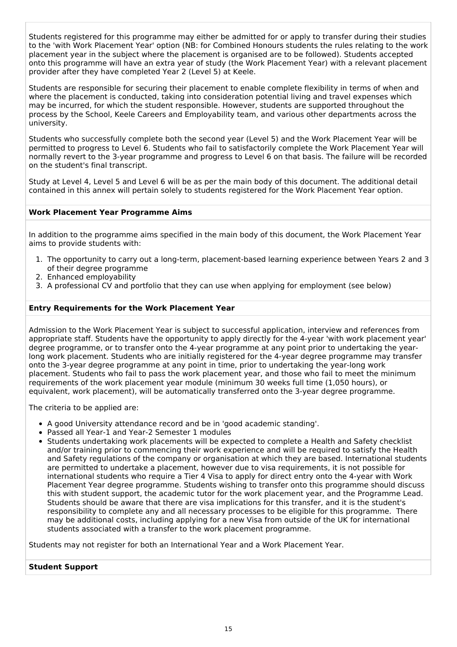Students registered for this programme may either be admitted for or apply to transfer during their studies to the 'with Work Placement Year' option (NB: for Combined Honours students the rules relating to the work placement year in the subject where the placement is organised are to be followed). Students accepted onto this programme will have an extra year of study (the Work Placement Year) with a relevant placement provider after they have completed Year 2 (Level 5) at Keele.

Students are responsible for securing their placement to enable complete flexibility in terms of when and where the placement is conducted, taking into consideration potential living and travel expenses which may be incurred, for which the student responsible. However, students are supported throughout the process by the School, Keele Careers and Employability team, and various other departments across the university.

Students who successfully complete both the second year (Level 5) and the Work Placement Year will be permitted to progress to Level 6. Students who fail to satisfactorily complete the Work Placement Year will normally revert to the 3-year programme and progress to Level 6 on that basis. The failure will be recorded on the student's final transcript.

Study at Level 4, Level 5 and Level 6 will be as per the main body of this document. The additional detail contained in this annex will pertain solely to students registered for the Work Placement Year option.

### **Work Placement Year Programme Aims**

In addition to the programme aims specified in the main body of this document, the Work Placement Year aims to provide students with:

- 1. The opportunity to carry out a long-term, placement-based learning experience between Years 2 and 3 of their degree programme
- 2. Enhanced employability
- 3. A professional CV and portfolio that they can use when applying for employment (see below)

### **Entry Requirements for the Work Placement Year**

Admission to the Work Placement Year is subject to successful application, interview and references from appropriate staff. Students have the opportunity to apply directly for the 4-year 'with work placement year' degree programme, or to transfer onto the 4-year programme at any point prior to undertaking the yearlong work placement. Students who are initially registered for the 4-year degree programme may transfer onto the 3-year degree programme at any point in time, prior to undertaking the year-long work placement. Students who fail to pass the work placement year, and those who fail to meet the minimum requirements of the work placement year module (minimum 30 weeks full time (1,050 hours), or equivalent, work placement), will be automatically transferred onto the 3-year degree programme.

The criteria to be applied are:

- A good University attendance record and be in 'good academic standing'.
- Passed all Year-1 and Year-2 Semester 1 modules
- Students undertaking work placements will be expected to complete a Health and Safety checklist and/or training prior to commencing their work experience and will be required to satisfy the Health and Safety regulations of the company or organisation at which they are based. International students are permitted to undertake a placement, however due to visa requirements, it is not possible for international students who require a Tier 4 Visa to apply for direct entry onto the 4-year with Work Placement Year degree programme. Students wishing to transfer onto this programme should discuss this with student support, the academic tutor for the work placement year, and the Programme Lead. Students should be aware that there are visa implications for this transfer, and it is the student's responsibility to complete any and all necessary processes to be eligible for this programme. There may be additional costs, including applying for a new Visa from outside of the UK for international students associated with a transfer to the work placement programme.

Students may not register for both an International Year and a Work Placement Year.

### **Student Support**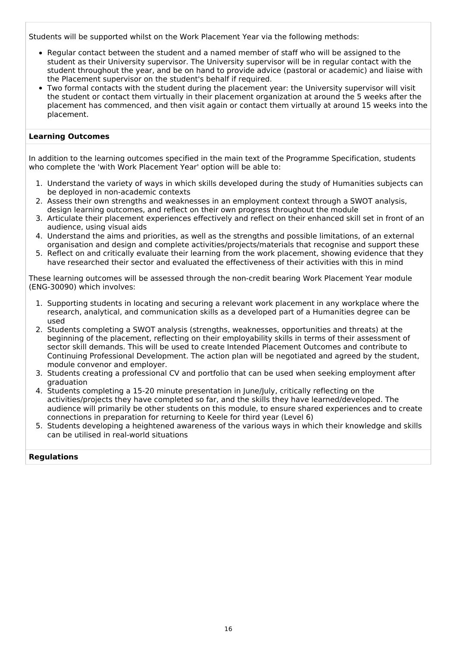Students will be supported whilst on the Work Placement Year via the following methods:

- Regular contact between the student and a named member of staff who will be assigned to the student as their University supervisor. The University supervisor will be in regular contact with the student throughout the year, and be on hand to provide advice (pastoral or academic) and liaise with the Placement supervisor on the student's behalf if required.
- Two formal contacts with the student during the placement year: the University supervisor will visit the student or contact them virtually in their placement organization at around the 5 weeks after the placement has commenced, and then visit again or contact them virtually at around 15 weeks into the placement.

### **Learning Outcomes**

In addition to the learning outcomes specified in the main text of the Programme Specification, students who complete the 'with Work Placement Year' option will be able to:

- 1. Understand the variety of ways in which skills developed during the study of Humanities subjects can be deployed in non-academic contexts
- 2. Assess their own strengths and weaknesses in an employment context through a SWOT analysis, design learning outcomes, and reflect on their own progress throughout the module
- 3. Articulate their placement experiences effectively and reflect on their enhanced skill set in front of an audience, using visual aids
- 4. Understand the aims and priorities, as well as the strengths and possible limitations, of an external organisation and design and complete activities/projects/materials that recognise and support these
- 5. Reflect on and critically evaluate their learning from the work placement, showing evidence that they have researched their sector and evaluated the effectiveness of their activities with this in mind

These learning outcomes will be assessed through the non-credit bearing Work Placement Year module (ENG-30090) which involves:

- 1. Supporting students in locating and securing a relevant work placement in any workplace where the research, analytical, and communication skills as a developed part of a Humanities degree can be used
- 2. Students completing a SWOT analysis (strengths, weaknesses, opportunities and threats) at the beginning of the placement, reflecting on their employability skills in terms of their assessment of sector skill demands. This will be used to create Intended Placement Outcomes and contribute to Continuing Professional Development. The action plan will be negotiated and agreed by the student, module convenor and employer.
- 3. Students creating a professional CV and portfolio that can be used when seeking employment after graduation
- 4. Students completing a 15-20 minute presentation in June/July, critically reflecting on the activities/projects they have completed so far, and the skills they have learned/developed. The audience will primarily be other students on this module, to ensure shared experiences and to create connections in preparation for returning to Keele for third year (Level 6)
- 5. Students developing a heightened awareness of the various ways in which their knowledge and skills can be utilised in real-world situations

### **Regulations**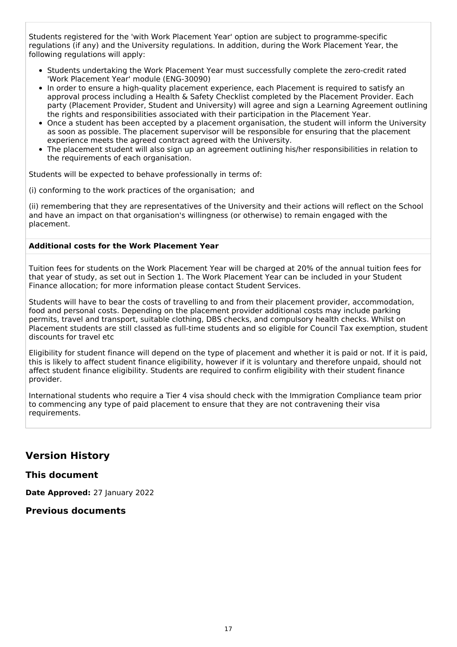Students registered for the 'with Work Placement Year' option are subject to programme-specific regulations (if any) and the University regulations. In addition, during the Work Placement Year, the following regulations will apply:

- Students undertaking the Work Placement Year must successfully complete the zero-credit rated 'Work Placement Year' module (ENG-30090)
- In order to ensure a high-quality placement experience, each Placement is required to satisfy an approval process including a Health & Safety Checklist completed by the Placement Provider. Each party (Placement Provider, Student and University) will agree and sign a Learning Agreement outlining the rights and responsibilities associated with their participation in the Placement Year.
- Once a student has been accepted by a placement organisation, the student will inform the University as soon as possible. The placement supervisor will be responsible for ensuring that the placement experience meets the agreed contract agreed with the University.
- The placement student will also sign up an agreement outlining his/her responsibilities in relation to the requirements of each organisation.

Students will be expected to behave professionally in terms of:

(i) conforming to the work practices of the organisation; and

(ii) remembering that they are representatives of the University and their actions will reflect on the School and have an impact on that organisation's willingness (or otherwise) to remain engaged with the placement.

### **Additional costs for the Work Placement Year**

Tuition fees for students on the Work Placement Year will be charged at 20% of the annual tuition fees for that year of study, as set out in Section 1. The Work Placement Year can be included in your Student Finance allocation; for more information please contact Student Services.

Students will have to bear the costs of travelling to and from their placement provider, accommodation, food and personal costs. Depending on the placement provider additional costs may include parking permits, travel and transport, suitable clothing, DBS checks, and compulsory health checks. Whilst on Placement students are still classed as full-time students and so eligible for Council Tax exemption, student discounts for travel etc

Eligibility for student finance will depend on the type of placement and whether it is paid or not. If it is paid, this is likely to affect student finance eligibility, however if it is voluntary and therefore unpaid, should not affect student finance eligibility. Students are required to confirm eligibility with their student finance provider.

International students who require a Tier 4 visa should check with the Immigration Compliance team prior to commencing any type of paid placement to ensure that they are not contravening their visa requirements.

## **Version History**

### **This document**

**Date Approved:** 27 January 2022

## **Previous documents**